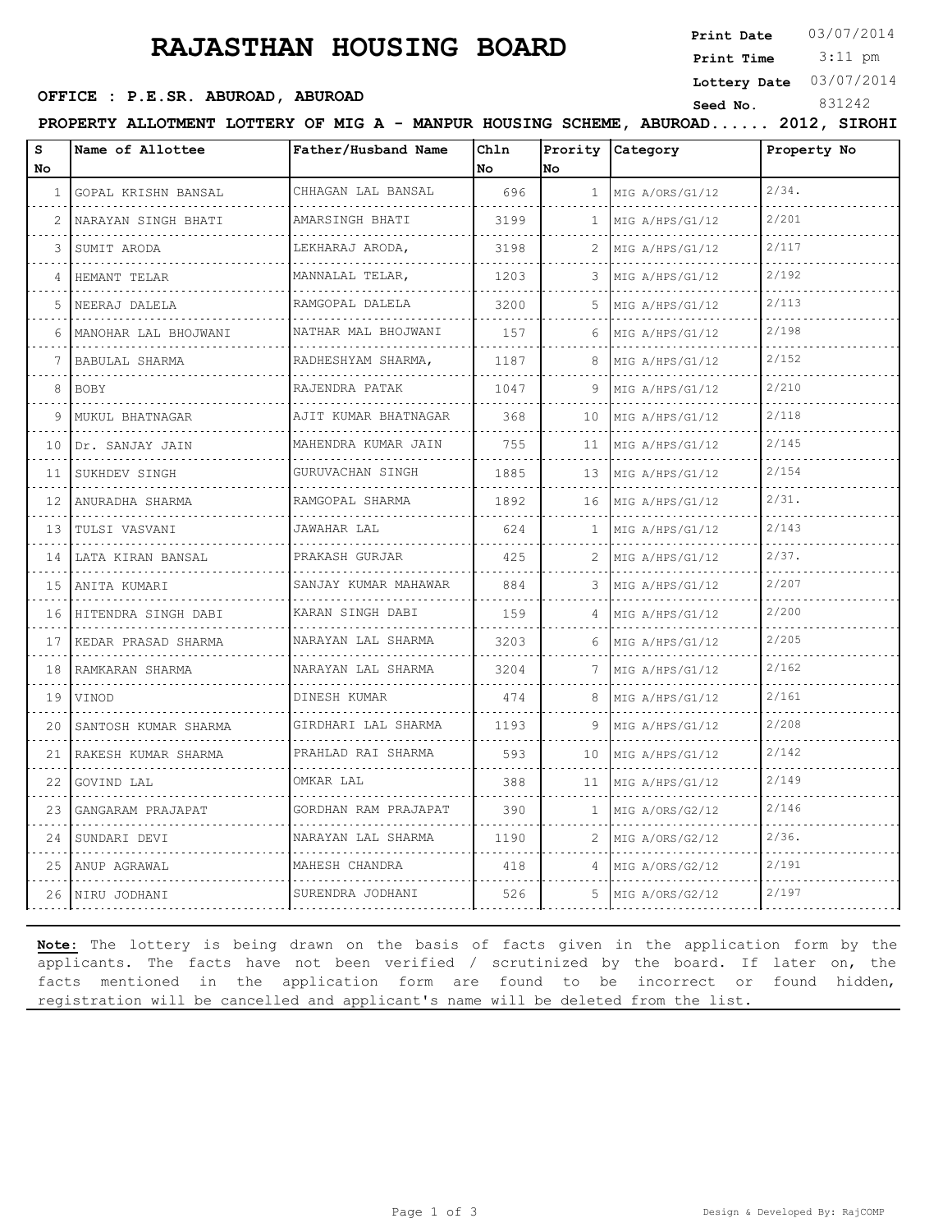# **RAJASTHAN HOUSING BOARD**

**Print Date** 03/07/2014

 3:11 pm **Print Time**

**Lottery Date** 03/07/2014

## **SEED OFFICE : P.E.SR. ABUROAD, ABUROAD Seed No.** 831242

**PROPERTY ALLOTMENT LOTTERY OF MIG A - MANPUR HOUSING SCHEME, ABUROAD...... 2012, SIROHI**

| s<br>No | Name of Allottee         | Father/Husband Name       | Chln<br>No | Prority<br>lno        | <b>Category</b>      | Property No |
|---------|--------------------------|---------------------------|------------|-----------------------|----------------------|-------------|
|         |                          |                           |            |                       |                      |             |
|         | 1 GOPAL KRISHN BANSAL    | CHHAGAN LAL BANSAL        | 696        | 1                     | MIG A/ORS/G1/12      | $2/34$ .    |
| 2       | NARAYAN SINGH BHATI      | AMARSINGH BHATI           | 3199       | $\mathbf{1}$          | MIG A/HPS/G1/12      | 2/201       |
| 3       | SUMIT ARODA              | LEKHARAJ ARODA,           | 3198       | 2.                    | MIG A/HPS/G1/12      | 2/117       |
| 4       | HEMANT TELAR             | MANNALAL TELAR,<br>.      | 1203       | 3                     | MIG A/HPS/G1/12<br>. | 2/192       |
| 5       | NEERAJ DALELA            | RAMGOPAL DALELA<br>.      | 3200       | 5                     | MIG A/HPS/G1/12      | 2/113       |
| 6       | MANOHAR LAL BHOJWANI     | NATHAR MAL BHOJWANI       | 157        | 6.                    | MIG A/HPS/G1/12      | 2/198       |
| 7       | BABULAL SHARMA           | RADHESHYAM SHARMA,<br>.   | 1187       | 8                     | MIG A/HPS/G1/12<br>. | 2/152       |
| 8       | <b>BOBY</b>              | RAJENDRA PATAK<br>.       | 1047       | 9                     | MIG A/HPS/G1/12      | 2/210       |
| 9       | MUKUL BHATNAGAR          | AJIT KUMAR BHATNAGAR      | 368        | 10                    | MIG A/HPS/G1/12      | 2/118       |
| 10      | Dr. SANJAY JAIN          | MAHENDRA KUMAR JAIN<br>.  | 755        | 11                    | MIG A/HPS/G1/12      | 2/145       |
| 11      | SUKHDEV SINGH            | GURUVACHAN SINGH          | 1885       | 13                    | MIG A/HPS/G1/12      | 2/154       |
| 12      | ANURADHA SHARMA          | RAMGOPAL SHARMA           | 1892       | 16                    | MIG A/HPS/G1/12      | $2/31$ .    |
| 13      | TULSI VASVANI<br>.       | JAWAHAR LAL               | 624        | $\mathbf{1}$          | MIG A/HPS/G1/12      | 2/143       |
| 14      | LATA KIRAN BANSAL        | PRAKASH GURJAR            | 425        | $\mathbf{2}^{\prime}$ | MIG A/HPS/G1/12      | 2/37.       |
|         | 15   ANITA KUMARI        | SANJAY KUMAR MAHAWAR      | 884        | 3                     | MIG A/HPS/G1/12      | 2/207       |
| 16      | HITENDRA SINGH DABI<br>. | KARAN SINGH DABI<br>.     | 159        | 4                     | MIG A/HPS/G1/12      | 2/200       |
| 17      | KEDAR PRASAD SHARMA      | NARAYAN LAL SHARMA        | 3203       | 6                     | MIG A/HPS/G1/12      | 2/205       |
| 18      | RAMKARAN SHARMA          | NARAYAN LAL SHARMA        | 3204       | 7                     | MIG A/HPS/G1/12      | 2/162       |
| 19      | VINOD                    | DINESH KUMAR              | 474        | 8                     | MIG A/HPS/G1/12      | 2/161       |
| 20      | SANTOSH KUMAR SHARMA     | GIRDHARI LAL SHARMA       | 1193       | 9                     | MIG A/HPS/G1/12      | 2/208       |
|         | 21   RAKESH KUMAR SHARMA | PRAHLAD RAI SHARMA        | 593        | 10                    | MIG A/HPS/G1/12      | 2/142       |
| 22      | GOVIND LAL               | OMKAR LAL                 | 388        | 11                    | MIG A/HPS/G1/12      | 2/149       |
| 23      | GANGARAM PRAJAPAT        | GORDHAN RAM PRAJAPAT<br>. | 390        | $\mathbf{1}$          | MIG A/ORS/G2/12      | 2/146       |
| 24      | SUNDARI DEVI             | NARAYAN LAL SHARMA<br>.   | 1190       | 2                     | MIG A/ORS/G2/12      | $2/36$ .    |
| 25      | ANUP AGRAWAL             | MAHESH CHANDRA            | 418        | 4                     | MIG A/ORS/G2/12      | 2/191       |
|         | 26   NIRU JODHANI        | SURENDRA JODHANI          | 526        | 5                     | MIG A/ORS/G2/12      | 2/197       |

**Note:** The lottery is being drawn on the basis of facts given in the application form by the applicants. The facts have not been verified / scrutinized by the board. If later on, the facts mentioned in the application form are found to be incorrect or found hidden, registration will be cancelled and applicant's name will be deleted from the list.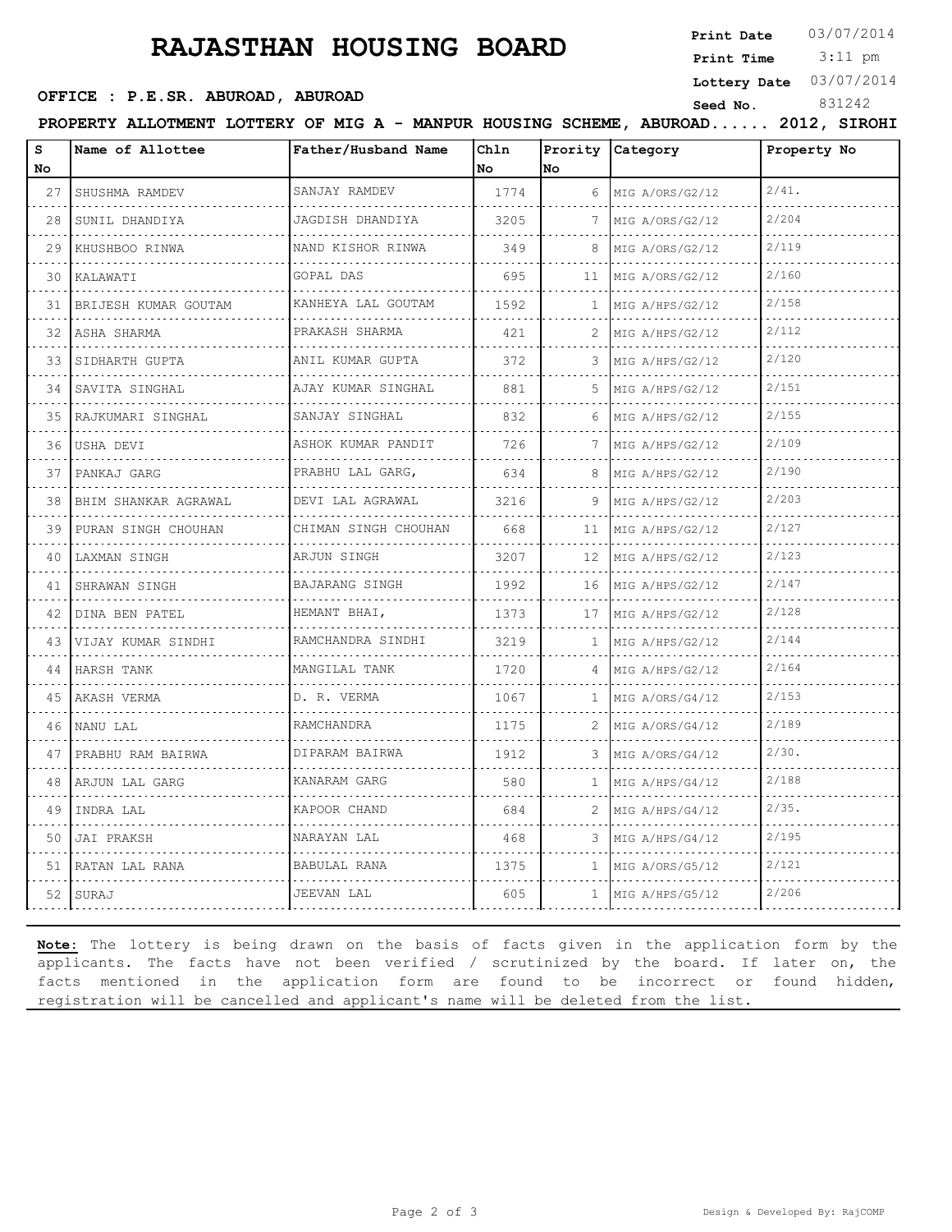# **RAJASTHAN HOUSING BOARD**

**Print Date**  $03/07/2014$ 

 3:11 pm **Print Time**

**Lottery Date** 03/07/2014

## **SEED OFFICE : P.E.SR. ABUROAD, ABUROAD Seed No.** 831242

**PROPERTY ALLOTMENT LOTTERY OF MIG A - MANPUR HOUSING SCHEME, ABUROAD...... 2012, SIROHI**

| S<br>No | Name of Allottee          | Father/Husband Name                                 | Chln<br>No | No           | Prority Category     | Property No |
|---------|---------------------------|-----------------------------------------------------|------------|--------------|----------------------|-------------|
| 27      | SHUSHMA RAMDEV            | SANJAY RAMDEV                                       | 1774       | 6            | MIG A/ORS/G2/12      | $2/41$ .    |
| 28      | .<br>SUNIL DHANDIYA       | .<br>JAGDISH DHANDIYA                               | 3205       | 7            | .<br>MIG A/ORS/G2/12 | 2/204       |
| 29      | KHUSHBOO RINWA            | .<br>NAND KISHOR RINWA                              | 349        | 8            | MIG A/ORS/G2/12      | 2/119       |
| 30      | KALAWATI                  | GOPAL DAS                                           | 695        | 11           | MIG A/ORS/G2/12      | 2/160       |
| 31      | .<br>BRIJESH KUMAR GOUTAM | .<br>KANHEYA LAL GOUTAM                             | 1592       | $\mathbf{1}$ | .<br>MIG A/HPS/G2/12 | 2/158       |
| 32      | ASHA SHARMA               | .<br>PRAKASH SHARMA                                 | 421        | 2            | .<br>MIG A/HPS/G2/12 | 2/112       |
| 33      | SIDHARTH GUPTA            | ANIL KUMAR GUPTA<br>.                               | 372        | 3            | MIG A/HPS/G2/12      | 2/120       |
| 34      | SAVITA SINGHAL<br>.       | AJAY KUMAR SINGHAL<br>.                             | 881        | .5           | MIG A/HPS/G2/12<br>. | 2/151       |
| 35      | RAJKUMARI SINGHAL         | SANJAY SINGHAL                                      | 832        | 6            | MIG A/HPS/G2/12      | 2/155       |
| 36      | USHA DEVI                 | ASHOK KUMAR PANDIT<br>.                             | 726        |              | MIG A/HPS/G2/12      | 2/109       |
| 37      | PANKAJ GARG               | PRABHU LAL GARG,<br>.                               | 634        | 8            | MIG A/HPS/G2/12<br>. | 2/190       |
| 38      | BHIM SHANKAR AGRAWAL      | DEVI LAL AGRAWAL                                    | 3216       | 9            | MIG A/HPS/G2/12      | 2/203       |
| 39      | PURAN SINGH CHOUHAN       | CHIMAN SINGH CHOUHAN                                | 668        | 11           | MIG A/HPS/G2/12      | 2/127       |
| 40      | LAXMAN SINGH              | ARJUN SINGH<br>.                                    | 3207       | 12           | MIG A/HPS/G2/12      | 2/123       |
| 41      | SHRAWAN SINGH             | <b>BAJARANG SINGH</b>                               | 1992       | 16           | MIG A/HPS/G2/12      | 2/147       |
| 42      | DINA BEN PATEL            | HEMANT BHAI,                                        | 1373       | 17           | MIG A/HPS/G2/12      | 2/128       |
| 43      | VIJAY KUMAR SINDHI        | RAMCHANDRA SINDHI                                   | 3219       | 1            | MIG A/HPS/G2/12      | 2/144       |
| 44      | HARSH TANK                | MANGILAL TANK                                       | 1720       | 4            | MIG A/HPS/G2/12      | 2/164       |
| 45      | AKASH VERMA               | D. R. VERMA                                         | 1067       | 1            | MIG A/ORS/G4/12      | 2/153       |
| 46      | NANU LAL                  | RAMCHANDRA                                          | 1175       | 2            | MIG A/ORS/G4/12      | 2/189       |
| 47      | PRABHU RAM BAIRWA         | DIPARAM BAIRWA<br>and a complete state of the state | 1912       | 3            | MIG A/ORS/G4/12      | $2/30$ .    |
| 48      | ARJUN LAL GARG            | KANARAM GARG                                        | 580        | 1            | MIG A/HPS/G4/12      | 2/188       |
| 49      | INDRA LAL                 | KAPOOR CHAND                                        | 684        | 2            | MIG A/HPS/G4/12      | 2/35.       |
| 50      | JAI PRAKSH                | NARAYAN LAL                                         | 468        | 3            | MIG A/HPS/G4/12      | 2/195       |
| 51      | RATAN LAL RANA            | BABULAL RANA                                        | 1375       | $\mathbf{1}$ | MIG A/ORS/G5/12      | 2/121       |
|         | 52 SURAJ                  | JEEVAN LAL                                          | 605        | $\mathbf{1}$ | MIG A/HPS/G5/12      | 2/206       |

**Note:** The lottery is being drawn on the basis of facts given in the application form by the applicants. The facts have not been verified / scrutinized by the board. If later on, the facts mentioned in the application form are found to be incorrect or found hidden, registration will be cancelled and applicant's name will be deleted from the list.